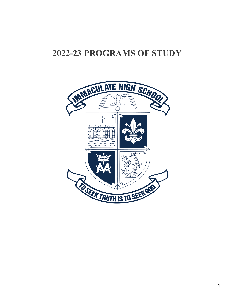# **2022-23 PROGRAMS OF STUDY**

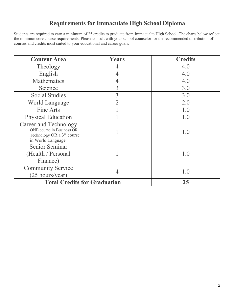## **Requirements for Immaculate High School Diploma**

Students are required to earn a minimum of 25 credits to graduate from Immacualte High School. The charts below reflect the minimun core course requirements. Please consult with your school counselor for the recommended distribution of courses and credits most suited to your educational and career goals.

| <b>Content Area</b>                                                                                                      | <b>Years</b>                                                                                            | <b>Credits</b> |
|--------------------------------------------------------------------------------------------------------------------------|---------------------------------------------------------------------------------------------------------|----------------|
| Theology                                                                                                                 |                                                                                                         | 4.0            |
| English                                                                                                                  |                                                                                                         | 4.0            |
| Mathematics                                                                                                              | 4                                                                                                       | 4.0            |
| Science                                                                                                                  | 3                                                                                                       | 3.0            |
| <b>Social Studies</b>                                                                                                    | 3                                                                                                       | 3.0            |
| <b>World Language</b>                                                                                                    | $\mathfrak{I}% _{T}=\mathfrak{I}_{T}\!\left( a,b\right) ,\ \mathfrak{I}_{T}=C_{T}\!\left( a,b\right) ,$ | 2.0            |
| Fine Arts                                                                                                                |                                                                                                         | 1.0            |
| <b>Physical Education</b>                                                                                                |                                                                                                         | 1.0            |
| <b>Career and Technology</b><br>ONE course in Business OR<br>Technology OR a 3 <sup>rd</sup> course<br>in World Language |                                                                                                         | 1.0            |
| Senior Seminar<br>(Health / Personal<br>Finance)                                                                         |                                                                                                         | 1.0            |
| <b>Community Service</b><br>$(25 \text{ hours/year})$                                                                    | 4                                                                                                       | 1.0            |
| <b>Total Credits for Graduation</b>                                                                                      |                                                                                                         | 25             |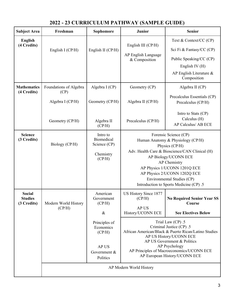| <b>Subject Area</b>                            | Freshman                                                              | Sophomore                                                                                                             | <b>Junior</b>                                                                                                                                                                                                                                                                                                                          | <b>Senior</b>                                                                                                                                                                                                                                                                                                                               |  |
|------------------------------------------------|-----------------------------------------------------------------------|-----------------------------------------------------------------------------------------------------------------------|----------------------------------------------------------------------------------------------------------------------------------------------------------------------------------------------------------------------------------------------------------------------------------------------------------------------------------------|---------------------------------------------------------------------------------------------------------------------------------------------------------------------------------------------------------------------------------------------------------------------------------------------------------------------------------------------|--|
| <b>English</b><br>(4 Credits)                  | English I (CP/H)                                                      | English II (CP/H)                                                                                                     | English III (CP/H)<br>AP English Language<br>& Composition                                                                                                                                                                                                                                                                             | Text & Context/CC (CP)<br>Sci Fi & Fantasy/CC (CP)<br>Public Speaking/CC (CP)<br>English IV $(H)$<br>AP English Literature &<br>Composition                                                                                                                                                                                                 |  |
| <b>Mathematics</b><br>(4 Credits)              | Foundations of Algebra<br>(CP)<br>Algebra I (CP/H)<br>Geometry (CP/H) | Algebra I (CP)<br>Geometry (CP/H)<br>Algebra II                                                                       | Geometry (CP)<br>Algebra II (CP/H)<br>Precalculus (CP/H)                                                                                                                                                                                                                                                                               | Algebra II (CP)<br>Precalculus Essentials (CP)<br>Precalculus (CP/H)<br>Intro to Stats (CP)<br>Calculus (H)                                                                                                                                                                                                                                 |  |
| <b>Science</b><br>(3 Credits)                  | Biology (CP/H)                                                        | (CP/H)<br>Intro to<br>Biomedical<br>Science (CP)<br>Chemistry<br>(CP/H)                                               | AP Calculus/ AB ECE<br>Forensic Science (CP)<br>Human Anatomy & Physiology (CP/H)<br>Physics (CP/H)<br>Adv. Health Care & Bioscience/CAN Clinical (H)<br>AP Biology/UCONN ECE<br>AP Chemistry<br>AP Physics 1/UCONN 1201Q ECE<br>AP Physics 2/UCONN 1202Q ECE<br>Environmental Studies (CP)<br>Introduction to Sports Medicine (CP) .5 |                                                                                                                                                                                                                                                                                                                                             |  |
| <b>Social</b><br><b>Studies</b><br>(3 Credits) | Modern World History<br>(CP/H)                                        | American<br>Government<br>(CP/H)<br>$\&$<br>Principles of<br>Economics<br>(CP/H)<br>AP US<br>Government &<br>Politics | US History Since 1877<br>(CP/H)<br>AP US<br>History/UCONN ECE<br>AP Modern World History                                                                                                                                                                                                                                               | <b>No Required Senior Year SS</b><br>Course<br><b>See Electives Below</b><br>Trial Law (CP) .5<br>Criminal Justice (CP) .5<br>African American/Black & Puerto Rican/Latino Studies<br>AP US History/UCONN ECE<br>AP US Government & Politics<br>AP Psychology<br>AP Principles of Macroeconomics/UCONN ECE<br>AP European History/UCONN ECE |  |
|                                                |                                                                       |                                                                                                                       |                                                                                                                                                                                                                                                                                                                                        |                                                                                                                                                                                                                                                                                                                                             |  |

 $\mathsf{L}$ 

## **2022 - 23 CURRICULUM PATHWAY (SAMPLE GUIDE)**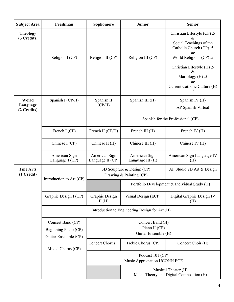| <b>Subject Area</b>              | Freshman                                       | Sophomore                                                | <b>Junior</b>                                                                        | <b>Senior</b>                                                                                                                                                                                                            |  |
|----------------------------------|------------------------------------------------|----------------------------------------------------------|--------------------------------------------------------------------------------------|--------------------------------------------------------------------------------------------------------------------------------------------------------------------------------------------------------------------------|--|
| <b>Theology</b><br>(3 Credits)   | Religion I (CP)                                | Religion II (CP)                                         | Religion III (CP)                                                                    | Christian Lifestyle (CP) .5<br>$\&$<br>Social Teachings of the<br>Catholic Church (CP) .5<br>or<br>World Religions (CP) .5<br>Christian Lifestyle (H) .5<br>Mariology (H) .5<br>or<br>Current Catholic Culture (H)<br>.5 |  |
| World<br>Language<br>(2 Credits) | Spanish I (CP/H)                               | Spanish II<br>(CP/H)                                     | Spanish III (H)                                                                      | Spanish IV (H)<br>AP Spanish Virtual                                                                                                                                                                                     |  |
|                                  |                                                |                                                          | Spanish for the Professional (CP)                                                    |                                                                                                                                                                                                                          |  |
|                                  | French I (CP)                                  | French II (CP/H)                                         | French III (H)                                                                       | French IV (H)                                                                                                                                                                                                            |  |
|                                  | Chinese I (CP)                                 | Chinese II (H)                                           | Chinese III (H)                                                                      | Chinese IV (H)                                                                                                                                                                                                           |  |
|                                  | American Sign<br>Language I (CP)               | American Sign<br>Language II (CP)                        | American Sign<br>Language III (H)                                                    | American Sign Language IV<br>(H)                                                                                                                                                                                         |  |
| <b>Fine Arts</b><br>(1 Credit)   |                                                |                                                          | 3D Sculpture & Design $(CP)$<br>AP Studio 2D Art & Design<br>Drawing & Painting (CP) |                                                                                                                                                                                                                          |  |
|                                  | Introduction to Art (CP)                       |                                                          | Portfolio Development & Individual Study (H)                                         |                                                                                                                                                                                                                          |  |
|                                  | Graphic Design I (CP)                          | Graphic Design<br>II(H)                                  | Visual Design (ECP)                                                                  | Digital Graphic Design IV<br>(H)                                                                                                                                                                                         |  |
|                                  | Introduction to Engineering Design for Art (H) |                                                          |                                                                                      |                                                                                                                                                                                                                          |  |
|                                  | Concert Band (CP)<br>Beginning Piano (CP)      | Concert Band (H)<br>Piano II (CP)<br>Guitar Ensemble (H) |                                                                                      |                                                                                                                                                                                                                          |  |
|                                  | Guitar Ensemble (CP)<br>Mixed Chorus (CP)      | <b>Concert Chorus</b>                                    | Treble Chorus (CP)                                                                   | Concert Choir (H)                                                                                                                                                                                                        |  |
|                                  |                                                | Podcast 101 (CP)<br>Music Appreciation UCONN ECE         |                                                                                      |                                                                                                                                                                                                                          |  |
|                                  |                                                |                                                          | Musical Theater (H)<br>Music Theory and Digital Composition (H)                      |                                                                                                                                                                                                                          |  |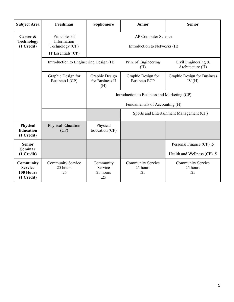| <b>Subject Area</b>                                    | Freshman                                                              | Sophomore                                                                | <b>Junior</b>                             | <b>Senior</b>                                           |
|--------------------------------------------------------|-----------------------------------------------------------------------|--------------------------------------------------------------------------|-------------------------------------------|---------------------------------------------------------|
| Career &<br><b>Technology</b><br>(1 Credit)            | Principles of<br>Information<br>Technology (CP)<br>IT Essentials (CP) | AP Computer Science<br>Introduction to Networks (H)                      |                                           |                                                         |
|                                                        | Introduction to Engineering Design (H)                                | Prin. of Engineering<br>Civil Engineering $&$<br>Architecture (H)<br>(H) |                                           |                                                         |
|                                                        | Graphic Design for<br>Business I (CP)                                 | Graphic Design<br>for Business II<br>(H)                                 | Graphic Design for<br><b>Business ECP</b> | Graphic Design for Business<br>IV(H)                    |
|                                                        |                                                                       | Introduction to Business and Marketing (CP)                              |                                           |                                                         |
|                                                        |                                                                       | Fundamentals of Accounting (H)                                           |                                           |                                                         |
|                                                        |                                                                       | Sports and Entertainment Management (CP)                                 |                                           |                                                         |
| Physical<br><b>Education</b><br>(1 Credit)             | Physical Education<br>(CP)                                            | Physical<br>Education (CP)                                               |                                           |                                                         |
| <b>Senior</b><br><b>Seminar</b><br>(1 Credit)          |                                                                       |                                                                          |                                           | Personal Finance (CP) .5<br>Health and Wellness (CP) .5 |
| Community<br><b>Service</b><br>100 Hours<br>(1 Credit) | <b>Community Service</b><br>25 hours<br>.25                           | Community<br>Service<br>25 hours<br>.25                                  | Community Service<br>25 hours<br>.25      | <b>Community Service</b><br>25 hours<br>.25             |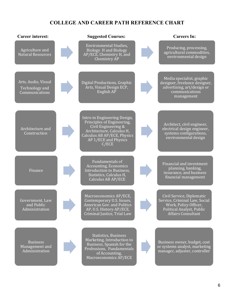## **COLLEGE AND CAREER PATH REFERENCE CHART**

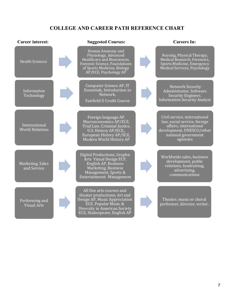## **COLLEGE AND CAREER PATH REFERENCE CHART**

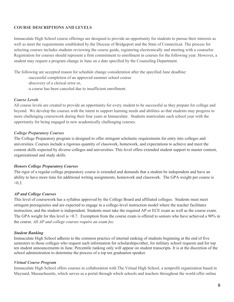### **COURSE DESCRIPTIONS AND LEVELS**

Immaculate High School course offerings are designed to provide an opportunity for students to pursue their interests as well as meet the requirements established by the Diocese of Bridgeport and the State of Connecticut. The process for selecting courses includes students reviewing the course guide, registering electronically and meeting with a counselor. Registration for courses should represent a firm commitment to enrollment in courses for the following year. However, a student may request a program change in June on a date specified by the Counseling Department.

The following are accepted reason for schedule change consideration after the specified June deadline:

- -successful completion of an approved summer school course
- -discovery of a clerical error or,
- -a course has been canceled due to insufficient enrollment.

### *Course Levels*

All course levels are created to provide an opportunity for every student to be successful as they prepare for college and beyond. We develop the courses with the intent to support learning needs and abilities so that students may progress to more challenging coursework during their four years at Immaculate. Students matriculate each school year with the opportunity for being engaged in new academically challenging courses.

### *College Preparatory Courses*

The College Preparatory program is designed to offer stringent scholastic requirements for entry into colleges and universities. Courses include a rigorous quantity of classwork, homework, and expectations to achieve and meet the content skills expected by diverse colleges and universities. This level offers extended student support to master content, organizational and study skills.

### *Honors College Preparatory Courses*

The rigor of a regular college preparatory course is extended and demands that a student be independent and have an ability to have more time for additional writing assignments, homework and classwork. The GPA weight per course is  $+0.3.$ 

### *AP and College Courses*

This level of coursework has a syllabus approved by the College Board and affiliated colleges. Students must meet stringent prerequisites and are expected to engage in a college-level instruction model where the teacher facilitates instruction, and the student is independent. Students must take the required AP or ECE exam as well as the course exam. The GPA weight for this level is  $+0.7$ . Exemption from the course exam is offered to seniors who have achieved a 90% in the course. *All AP and college courses require an exam fee.*

### *Student Ranking*

Immaculate High School adheres to the common practice of internal ranking of students beginning at the end of five semesters to those colleges who request such information for scholarships/other, for military school requests and for top ten student announcements in June. Percentile ranking only will appear on student transcripts. It is at the discretion of the school administration to determine the process of a top ten graduation speaker.

### *Virtual Course Program*

Immaculate High School offers courses in collaboration with The Virtual High School, a nonprofit organization based in Maynard, Massachusetts, which serves as a portal through which schools and teachers throughout the world offer online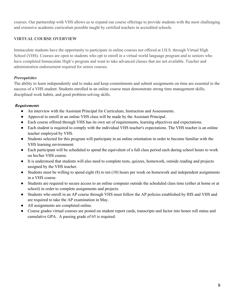courses. Our partnership with VHS allows us to expand our course offerings to provide students with the most challenging and extensive academic curriculum possible taught by certified teachers in accredited schools.

## **VIRTUAL COURSE OVERVIEW**

Immaculate students have the opportunity to participate in online courses not offered at I.H.S. through Virtual High School (VHS). Courses are open to students who opt to enroll in a virtual world language program and to seniors who have completed Immaculate High's program and want to take advanced classes that are not available. Teacher and administration endorsement required for senior courses.

## *Prerequisites*

The ability to learn independently and to make and keep commitments and submit assignments on time are essential to the success of a VHS student. Students enrolled in an online course must demonstrate strong time management skills, disciplined work habits, and good problem-solving skills.

## *Requirements*

- An interview with the Assistant Principal for Curriculum, Instruction and Assessments.
- Approval to enroll in an online VHS class will be made by the Assistant Principal.
- Each course offered through VHS has its own set of requirements, learning objectives and expectations.
- Each student is required to comply with the individual VHS teacher's expectations. The VHS teacher is an online teacher employed by VHS.
- Students selected for this program will participate in an online orientation in order to become familiar with the VHS learning environment.
- Each participant will be scheduled to spend the equivalent of a full class period each during school hours to work on his/her VHS course.
- It is understood that students will also need to complete tests, quizzes, homework, outside reading and projects assigned by the VHS teacher.
- Students must be willing to spend eight (8) to ten (10) hours per week on homework and independent assignments in a VHS course.
- Students are required to secure access to an online computer outside the scheduled class time (either at home or at school) in order to complete assignments and projects.
- Students who enroll in an AP course through VHS must follow the AP policies established by IHS and VHS and are required to take the AP examination in May.
- All assignments are completed online.
- Course grades virtual courses are posted on student report cards, transcripts and factor into honor roll status and cumulative GPA. A passing grade of 65 is required.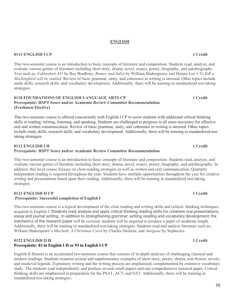#### **ENGLISH**

### **0111 ENGLISH I CP** 1 Credit

This two-semester course is an introduction to basic concepts of literature and composition. Students read, analyze, and evaluate various genres of literature including short story, drama, novel, essays, poetry, biography, and autobiography. Text such as; *Fahrenheit 451* by Ray Bradbury, *Romeo and Juliet* by William Shakespeare, and Harper Lee's *To Kill a Mockingbird will be studied.* Review of basic grammar, unity, and coherence in writing is stressed. Other topics include study skills, research skills, and vocabulary development. Additionally, there will be training in standardized test-taking strategies.

#### **0118 FOUNDATIONS OF ENGLISH LANGUAGE ARTS CP 1 Credit Prerequisite: HSPT Score and/or Academic Review Committee Recommendation (Freshmen Elective)**

This two-semester course is offered concurrently with English I CP to assist students with additional critical thinking skills in reading, writing, listening, and speaking. Students are challenged to progress in all areas necessary for effective oral and written communication. Review of basic grammar, unity, and coherence in writing is stressed. Other topics include study skills, research skills, and vocabulary development. Additionally, there will be training in standardized testtaking strategies.

#### **0112 ENGLISH I H 1 Credit**

#### **Prerequisite: HSPT Score and/or Academic Review Committee Recommendation**

This two-semester course is an introduction to basic concepts of literature and composition. Students read, analyze, and evaluate various genres of literature including short story, drama, novel, essays, poetry, biography, and autobiography. In addition, this level course focuses on close-reading strategies as well as written and oral communication. Quarterly independent reading is required throughout the year. Students have multiple opportunities throughout the year for creative writing and presentations based upon their reading. Additionally, there will be training in standardized test-taking strategies.

## **0121 ENGLISH II CP 1 Credit**

### **Prerequisite: Successful completion of English I**

This two-semester course is a logical development of the close reading and writing skills and critical- thinking techniques acquired in English I. Students read, analyze and apply critical thinking reading skills for coherent oral presentations, essay and journal writing. In addition to strengthening grammar, writing, reading and vocabulary development, the mechanics of the research paper will be covered; students will be required to produce a paper of moderate length. Additionally, there will be training in standardized test-taking strategies. Students read and analyze literature such as; William Shakespeare's *Macbeth, A Christmas Carol* by Charles Dickens, and *Antigone* by Sophocles.

### **0122 ENGLISH II H 1 2 Credit Prerequisite: 83 in English I H or 93 in English I CP**

English II Honors is an accelerated two-semester course that consists of in-depth analyses of challenging classical and modern readings. Students examine textual and supplementary examples of short story, poetry, drama, non-fiction, novels, and medieval legends. Expository writing and the writing process are emphasized, complemented by extensive vocabulary study. The students read independently and produce several small papers and one comprehensive research paper. Critical thinking skills are emphasized in preparation for the PSAT, ACT, and SAT. Additionally, there will be training in standardized test-taking strategies.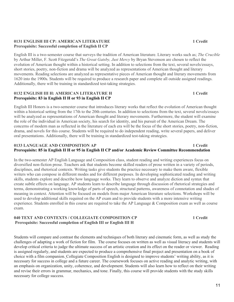#### **0131 ENGLISH III CP: AMERICAN LITERATURE 1 Credit Prerequisite: Successful completion of English II CP**

English III is a two-semester course that surveys the tradition of American literature. Literary works such as; *The Crucible*  by Arthur Miller, F. Scott Fitzgerald's *The Great Gatsby, Just Mercy* by Bryan Stevenson are chosen to reflect the evolution of American thought within a historical setting. In addition to selections from the text, several novels/essays, short stories, poetry, non-fiction and drama will be analyzed as representations of American thought and literary movements. Reading selections are analyzed as representative pieces of American thought and literary movements from 1620 into the 1900s. Students will be required to produce a research paper and complete all outside assigned readings. Additionally, there will be training in standardized test-taking strategies.

#### **0132 ENGLISH III H: AMERICAN LITERATURE H 1 Credit Prerequisite: 83 in English II H or 93 in English II CP**

English III Honors is a two-semester course that introduces literary works that reflect the evolution of American thought within a historical setting from the 17th to the 20th centuries. In addition to selections from the text, several novels/essays will be analyzed as representations of American thought and literary movements. Furthermore, the student will examine the role of the individual in American society, his search for identity, and his pursuit of the American Dream. The concerns of modern man as reflected in the literature of each era will be the focus of the short stories, poetry, non-fiction, drama, and novels for this course. Students will be required to do independent reading, write several papers, and deliver oral presentations. Additionally, there will be training in standardized test-taking strategies.

### **0133 LANGUAGE AND COMPOSITION AP 1 Credit Prerequisite: 85 in English II H or 95 in English II CP and/or Academic Review Committee Recommendation**

In the two-semester AP English Language and Composition class, student reading and writing experiences focus on diversified non-fiction prose. Teachers ask that students become skilled readers of prose written in a variety of periods, disciplines, and rhetorical contexts. Writing tasks give students the practice necessary to make them aware, flexible writers who can compose in different modes and for different purposes. In developing sophisticated reading and writing skills, students explore and describe how language works. They learn to observe and analyze diction and syntax that create subtle effects on language. AP students learn to describe language through discussion of rhetorical strategies and terms, demonstrating a working knowledge of parts of speech, structural patterns, awareness of connotation and shades of meaning in context. Attention will be focused on models from major American literature selections. Workshops will be used to develop additional skills required on the AP exam and to provide students with a more intensive writing experience. Students enrolled in this course are required to take the AP Language  $\&$  Composition exam as well as course exam.

#### **040 TEXT AND CONTEXTS / COLLEGIATE COMPOSITION CP 1 Credit Prerequisite: Successful completion of English III or English III H**

Students will compare and contrast the elements and techniques of both literary and cinematic form, as well as study the challenges of adapting a work of fiction for film. The course focuses on written as well as visual literacy and students will develop critical criteria to judge the ultimate success of an artistic creation and its effect on the reader or viewer. Reading is assigned regularly, and students are expected to produce a comprehensive final project and presentation on a book of choice with a film companion. Collegiate Composition English is designed to improve students' writing ability, as it is necessary for success in college and a future career. The coursework focuses on active reading and analytic writing, with an emphasis on organization, unity, coherence, and development. Students will also learn how to reflect on their writing and revise their errors in grammar, mechanics, and tone. Finally, this course will provide students with the study skills necessary for college success.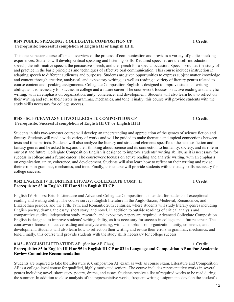#### **0147 PUBLIC SPEAKING / COLLEGIATE COMPOSITION CP 1 Credit Prerequisite: Successful completion of English III or English III H**

This one-semester course offers an overview of the process of communication and provides a variety of public speaking experiences. Students will develop critical speaking and listening skills. Required speeches are the self-introduction speech, the informative speech, the persuasive speech, and the speech for a special occasion. Speech provides the study of and practice in the basic principles and techniques of effective oral communication. This course includes instruction in adapting speech to different audiences and purposes. Students are given opportunities to express subject matter knowledge and content through creative, analytical, and expository writing, as well as reading a variety of literary genres related to course content and speaking assignments. Collegiate Composition English is designed to improve students' writing ability, as it is necessary for success in college and a future career. The coursework focuses on active reading and analytic writing, with an emphasis on organization, unity, coherence, and development. Students will also learn how to reflect on their writing and revise their errors in grammar, mechanics, and tone. Finally, this course will provide students with the study skills necessary for college success.

### **0148 - SCI-FI/FANTASY LIT./COLLEGIATE COMPOSITION CP 1 Credit Prerequisite: Successful completion of English III CP or English III H**

Students in this two-semester course will develop an understanding and appreciation of the genres of science fiction and fantasy. Students will read a wide variety of works and will be guided to make thematic and topical connections between texts and time periods. Students will also analyze the literary and structural elements specific to the science fiction and fantasy genres and be asked to expand their thinking about science and its connection to humanity, society, and its role in our past and future. Collegiate Composition English is designed to improve students' writing ability, as it is necessary for success in college and a future career. The coursework focuses on active reading and analytic writing, with an emphasis on organization, unity, coherence, and development. Students will also learn how to reflect on their writing and revise their errors in grammar, mechanics, and tone. Finally, this course will provide students with the study skills necessary for college success.

#### **0142 ENGLISH IV H: BRITISH LIT./ADV. COLLEGIATE COMP. H 1 Credit Prerequisite: 83 in English III H or 93 in English III CP**

English IV Honors: British Literature and Advanced Collegiate Composition is intended for students of exceptional reading and writing ability. The course surveys English literature in the Anglo-Saxon, Medieval, Renaissance, and Elizabethan periods, and the 17th, 18th, and Romantic 20th centuries, where students will study literary genres including English poetry, drama, the essay, short story, and novel. In addition to outside readings of critical analysis and comparative studies, independent study, research, and expository papers are required. Advanced Collegiate Composition English is designed to improve students' writing ability, as it is necessary for success in college and a future career. The coursework focuses on active reading and analytic writing, with an emphasis on organization, unity, coherence, and development. Students will also learn how to reflect on their writing and revise their errors in grammar, mechanics, and tone. Finally, this course will provide students with the study skills necessary for college success.

#### **0143 - ENGLISH LITERATURE AP (Senior AP Class) 1 Credit Prerequisite: 85 in English III H or 95 in English III CP or 83 in Language and Composition AP and/or Academic Review Committee Recommendation**

Students are required to take the Literature & Composition AP exam as well as course exam. Literature and Composition AP is a college-level course for qualified, highly motivated seniors. The course includes representative works in several genres including novel, short story, poetry, drama, and essay. Students receive a list of required works to be read during the summer. In addition to close analysis of the representative works, frequent writing assignments develop the student's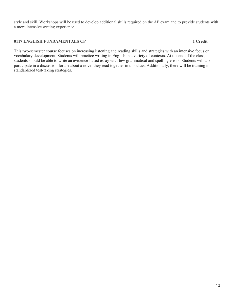style and skill. Workshops will be used to develop additional skills required on the AP exam and to provide students with a more intensive writing experience.

#### **0117 ENGLISH FUNDAMENTALS CP 1 Credit**

This two-semester course focuses on increasing listening and reading skills and strategies with an intensive focus on vocabulary development. Students will practice writing in English in a variety of contexts. At the end of the class, students should be able to write an evidence-based essay with few grammatical and spelling errors. Students will also participate in a discussion forum about a novel they read together in this class. Additionally, there will be training in standardized test-taking strategies.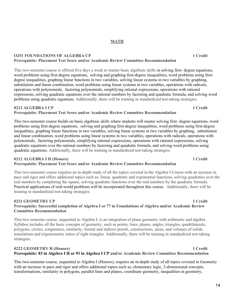## **MATH**

#### **O251 FOUNDATIONS OF ALGEBRA CP 1 Credit Prerequisite: Placement Test Score and/or Academic Review Committee Recommendation**

This two-semester course is offered five days a week to master basic algebraic skills in solving first- degree equations, word problems using first-degree equations, solving and graphing first-degree inequalities, word problems using firstdegree inequalities, graphing linear functions in two variables, solving linear systems in two variables by graphing, substitution and linear combination, word problems using linear systems in two variables, operations with radicals, operations with polynomials, factoring polynomials, simplifying rational expressions, operations with rational expressions, solving quadratic equations over the rational numbers by factoring and quadratic formula, and solving word problems using quadratic equations. Additionally, there will be training in standardized test-taking strategies.

### **0211 ALGEBRA I CP 1 Credit**

## **Prerequisite: Placement Test Score and/or Academic Review Committee Recommendation**

This two-semester course builds on basic algebraic skills where students will master solving first- degree equations, word problems using first-degree equations, solving and graphing first-degree inequalities, word problems using first-degree inequalities, graphing linear functions in two variables, solving linear systems in two variables by graphing, substitution and linear combination, word problems using linear systems in two variables, operations with radicals, operations with polynomials, factoring polynomials, simplifying rational expressions, operations with rational expressions, solving quadratic equations over the rational numbers by factoring and quadratic formula, and solving word problems using quadratic equations. Additionally, there will be training in standardized test-taking strategies.

### **0212 ALGEBRA I H (Honors) 1 Credit**

## **Prerequisite: Placement Test Score and/or Academic Review Committee Recommendation**

This two-semester course requires an in-depth study of all the topics covered in the Algebra I Course with an increase in pace and rigor and offers additional topics such as; linear, quadratic and exponential functions, solving quadratics over the real numbers by completing the square, solving quadratic functions over the real numbers by the quadratic formula. Practical applications of real-world problems will be incorporated throughout this course. Additionally, there will be training in standardized test-taking strategies.

#### **0221 GEOMETRY CP 1 Credit Prerequisite: Successful completion of Algebra I or 77 in Foundations of Algebra and/or Academic Review Committee Recommendation**

This-two semester course, sequential to Algebra I, is an integration of plane geometry with arithmetic and algebra. Syllabus includes all the basic concepts of geometry, such as points, lines, planes, angles, triangles, quadrilaterals, polygons, circles, congruence, similarity, formal and indirect proofs, constructions, areas, and volumes of solids, translations and trigonometric ratios of right triangles. Additionally, there will be training in standardized test-taking strategies.

## **0222 GEOMETRY H (Honors) 1 Credit Prerequisite: 83 in Algebra I H or 93 in Algebra I CP and/or Academic Review Committee Recommendation**

This two-semester course, sequential to Algebra I (Honors), requires an in-depth study of all topics covered in Geometry with an increase in pace and rigor and offers additional topics such as; elementary logic, 3-dimensional concepts, transformations, similarity in polygons, parallel lines and planes, coordinate geometry, inequalities in geometry,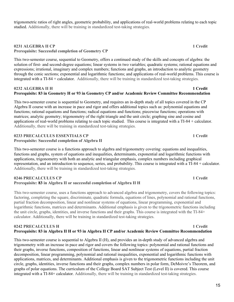trigonometric ratios of right angles, geometric probability, and applications of real-world problems relating to each topic studied. Additionally, there will be training in standardized test-taking strategies.

#### **0231 ALGEBRA II CP 1 Credit Prerequisite: Successful completion of Geometry CP**

This two-semester course, sequential to Geometry, offers a continued study of the skills and concepts of algebra: the solution of first- and second-degree equations; linear systems in two variables; quadratic systems; rational equations and expressions; irrational, imaginary and complex numbers; functions and graphs, an introduction to analytic geometry through the conic sections; exponential and logarithmic functions; and applications of real-world problems. This course is integrated with a TI-84 + calculator. Additionally, there will be training in standardized test-taking strategies.

#### **0232 ALGEBRA II H 1 2 232 ALGEBRA II H** 1 2 232 ALGEBRA II H 2 232 ALGEBRA II H 2 232 ALGEBRA II H 2 232 ALGEBRA II **Prerequisite: 83 in Geometry H or 93 in Geometry CP and/or Academic Review Committee Recommendation**

This two-semester course is sequential to Geometry, and requires an in-depth study of all topics covered in the CP Algebra II course with an increase in pace and rigor and offers additional topics such as: polynomial equations and functions; rational equations and functions; radical equations and functions; piecewise functions; operations with matrices; analytic geometry; trigonometry of the right triangle and the unit circle; graphing sine and cosine and applications of real-world problems relating to each topic studied. This course is integrated with a TI-84 + calculator. Additionally, there will be training in standardized test-taking strategies.

#### **0233 PRECALCULUS ESSENTIALS CP 1 Credit Prerequisite: Successful completion of Algebra II**

This two-semester course is a functions approach to algebra and trigonometry covering: equations and inequalities, functions and graphs, system of equations and inequalities, determinants, exponential and logarithmic functions with applications, trigonometry with both an analytic and triangular emphasis, complex numbers including graphical representation, and an introduction to sequence, series, and probability. This course is integrated with a TI-84 + calculator. Additionally, there will be training in standardized test-taking strategies.

#### **0246 PRECALCULUS CP 1 Credit Prerequisite: 83 in Algebra II or successful completion of Algebra II H**

This two-semester course, uses a functions approach to advanced algebra and trigonometry, covers the following topics: factoring, completing the square, discriminate, quadratic formula, equations of lines, polynomial and rational functions, partial fraction decomposition, linear and nonlinear systems of equations, linear programming, exponential and logarithmic functions, matrices and determinants. Additional emphasis is given to the trigonometric functions including the unit circle, graphs, identities, and inverse functions and their graphs. This course is integrated with the TI-84+ calculator. Additionally, there will be training in standardized test-taking strategies.

#### **0242 PRECALCULUS H 1 Credit Prerequisite: 83 in Algebra II H or 93 in Algebra II CP and/or Academic Review Committee Recommendation**

This two-semester course is sequential to Algebra II (H), and provides an in-depth study of advanced algebra and trigonometry with an increase in pace and rigor and covers the following topics: polynomial and rational functions and their graphs, inverse functions, composition of functions, linear and nonlinear systems of equations, partial fraction decomposition, linear programming, polynomial and rational inequalities, exponential and logarithmic functions with applications, matrices, and determinants. Additional emphasis is given to the trigonometric functions including the unit circle, graphs, identities, inverse functions and their graphs, complex numbers in polar form, DeMoivre's Theorem, and graphs of polar equations. The curriculum of the College Board SAT Subject Test (Level II) is covered. This course integrated with a TI-84+ calculator. Additionally, there will be training in standardized test-taking strategies.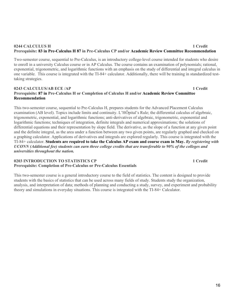### **0244 CALCULUS H 1 Credit Prerequisite: 83 in Pre-Calculus H 87 in Pre-Calculus CP and/or Academic Review Committee Recommendation**

Two-semester course, sequential to Pre-Calculus, is an introductory college-level course intended for students who desire to enroll in a university Calculus course or in AP Calculus. The course contains an examination of polynomials; rational, exponential, trigonometric, and logarithmic functions with an emphasis on the study of differential and integral calculus in one variable. This course is integrated with the TI-84+ calculator. Additionally, there will be training in standardized testtaking strategies.

#### **0243 CALCULUS/AB ECE /AP 1 2 Credit Prerequisite: 87 in Pre-Calculus H or Completion of Calculus H and/or Academic Review Committee Recommendation**

This two-semester course, sequential to Pre-Calculus H, prepares students for the Advanced Placement Calculus examination (AB level). Topics include limits and continuity. L'HÔpital's Rule; the differential calculus of algebraic, trigonometric, exponential, and logarithmic functions; anti-derivatives of algebraic, trigonometric, exponential and logarithmic functions; techniques of integration, definite integrals and numerical approximations; the solutions of differential equations and their representation by slope field. The derivative, as the slope of a function at any given point and the definite integral, as the area under a function between any two given points, are regularly graphed and checked on a graphing calculator. Applications of derivatives and integrals are explored regularly. This course is integrated with the TI-84+ calculator. **Students are required to take the Calculus AP exam and course exam in May.** *By registering with UCONN (Additional fee) students can earn three college credits that are transferable to 90% of the colleges and universities throughout the nation.* 

#### **0203 INTRODUCTION TO STATISTICS CP** 1 Credit **Prerequisite: Completion of Pre-Calculus or Pre-Calculus Essentials**

This two-semester course is a general introductory course to the field of statistics. The content is designed to provide students with the basics of statistics that can be used across many fields of study. Students study the organization, analysis, and interpretation of data; methods of planning and conducting a study, survey, and experiment and probability theory and simulations in everyday situations. This course is integrated with the TI-84+ Calculator.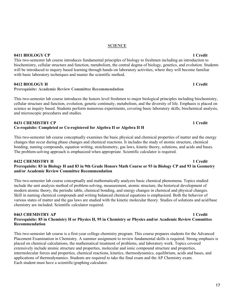#### **SCIENCE**

**0411 BIOLOGY CP 1 Credit**

This two-semester lab course introduces fundamental principles of biology to freshmen including an introduction to biochemistry, cellular structure and function, metabolism, the central dogma of biology, genetics, and evolution. Students will be introduced to inquiry based learning through hands-on laboratory activities, where they will become familiar with basic laboratory techniques and master the scientific method.

**0412 BIOLOGY H 1 Credit**

## **Prerequisite: Academic Review Committee Recommendation**

This two-semester lab course introduces the honors level freshmen to major biological principles including biochemistry, cellular structure and function, evolution, genetic continuity, metabolism, and the diversity of life. Emphasis is placed on science as inquiry based. Students perform numerous experiments, covering basic laboratory skills, biochemical analysis, and microscopic procedures and studies.

### **0431 CHEMISTRY CP 1 2 Credit Co-requisite: Completed or Co-registered for Algebra II or Algebra II H**

This two-semester lab course conceptually examines the basic physical and chemical properties of matter and the energy changes that occur during phase changes and chemical reactions. It includes the study of atomic structure, chemical bonding, naming compounds, equation writing, stoichiometry, gas laws, kinetic theory, solutions, and acids and bases. The problem-solving approach is emphasized when appropriate. Scientific calculator is required.

#### **0422 CHEMISTRY H 1 Credit Prerequisite: 83 in Biology H and 83 in 9th Grade Honors Math Course or 93 in Biology CP and 93 in Geometry and/or Academic Review Committee Recommendation**

This two-semester lab course conceptually and mathematically analyzes basic chemical phenomena. Topics studied include the unit analysis method of problem-solving, measurement, atomic structure, the historical development of modern atomic theory, the periodic table, chemical bonding, and energy changes in chemical and physical changes. Skill in naming chemical compounds and writing balanced chemical equations is emphasized. Both the behavior of various states of matter and the gas laws are studied with the kinetic molecular theory. Studies of solutions and acid/base chemistry are included. Scientific calculator required.

#### **0463 CHEMISTRY AP 1 2 2 2 2 2 2 3 2 2 3 2 3 4 4 5 4 6 7 2 3 4 6 7 2 3 4 6 7 2 3 4 6 7 2 3 4 6 7 2 3 4 6 7 2 3 4 6 7 2 3 4 6 7 2 3 4 6 7 2 3 4 7 2 3 4 7 2 3 4 7 2 3 4 7 2 3 4 7 2 3 4 7 2 3 4 7 2 3 4 7 2 3 4 7 3 4 7 3 4 7 3 Prerequisite: 85 in Chemistry H or Physics H, 95 in Chemistry or Physics and/or Academic Review Committee Recommendation**

This two-semester lab course is a first-year college chemistry program. This course prepares students for the Advanced Placement Examination in Chemistry. A summer assignment to review fundamental skills is required. Strong emphasis is placed on chemical calculations, the mathematical treatment of problems, and laboratory work. Topics covered extensively include atomic structure and properties, molecular and ionic compound structure and properties, intermolecular forces and properties, chemical reactions, kinetics, thermodynamics, equilibrium, acids and bases, and applications of thermodynamics. Students are required to take the final exam and the AP Chemistry exam. Each student must have a scientific/graphing calculator.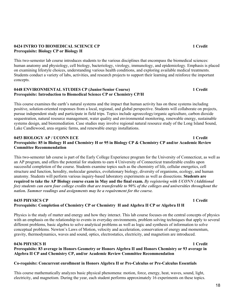#### **0424 INTRO TO BIOMEDICAL SCIENCE CP 1 Credit Prerequisite: Biology CP or Biology H**

This two-semester lab course introduces students to the various disciplines that encompass the biomedical sciences: human anatomy and physiology, cell biology, bacteriology, virology, immunology, and epidemiology. Emphasis is placed on examining lifestyle choices, understanding various health conditions, and exploring available medical treatments. Students conduct a variety of labs, activities, and research projects to support their learning and reinforce the important concepts.

#### **0448 ENVIRONMENTAL STUDIES CP (Junior/Senior Course) 1 Credit Prerequisite: Introduction to Biomedical Science CP or Chemistry CP/H**

This course examines the earth's natural systems and the impact that human activity has on these systems including positive, solution-oriented responses from a local, regional, and global perspective. Students will collaborate on projects, pursue independent study and participate in field trips. Topics include agroecology/organic agriculture, carbon dioxide sequestration, natural resource management, water quality and environmental monitoring, renewable energy, sustainable systems design, and bioremediation. Case studies may involve regional natural resource study of the Long Island Sound, Lake Candlewood, area organic farms, and renewable energy installations.

#### **0453 BIOLOGY AP / UCONN ECE 1 Credit 1 Credit Prerequisite: 85 in Biology H and Chemistry H or 95 in Biology CP & Chemistry CP and/or Academic Review Committee Recommendation**

This two-semester lab course is part of the Early College Experience program for the University of Connecticut, as well as an AP program, and offers the potential for students to earn 4 University of Connecticut transferable credits upon successful completion of the course. Students examine topics such as the chemistry of life, cellular energetics, cell structure and function, heredity, molecular genetics, evolutionary biology, diversity of organisms, ecology, and human anatomy. Students will perform various inquiry-based laboratory experiments as well as dissections. **Students are required to take the AP Biology course exam in May and the final exam.** *By registering with UCONN (Additional fee) students can earn four college credits that are transferable to 90% of the colleges and universities throughout the nation. Summer readings and assignments may be a requirement for the course.*

### **0435 PHYSICS CP 1 Credit Prerequisite: Completion of Chemistry CP or Chemistry H and Algebra II CP or Algebra II H**

Physics is the study of matter and energy and how they interact. This lab course focuses on the central concepts of physics with an emphasis on the relationship to events in everyday environments, problem solving techniques that apply to several different problems, basic algebra to solve analytical problems as well as logic and synthesis of information to solve conceptual problems. Newton's Laws of Motion, velocity and acceleration, conservation of energy and momentum, gravity, thermodynamics, waves and sound, optics, electrostatics, electricity, and magnetism are introduced.

#### **0436 PHYSICS H 1 Credit Prerequisite: 83 average in Honors Geometry or Honors Algebra II and Honors Chemistry or 93 average in Algebra II CP and Chemistry CP, and/or Academic Review Committee Recommendation**

## **Co-requisite: Concurrent enrollment in Honors Algebra II or Pre-Calculus or Pre-Calculus Essentials**

This course mathematically analyzes basic physical phenomena: motion, force, energy, heat, waves, sound, light, electricity, and magnetism. During the year, each student performs approximately 16 experiments on these topics.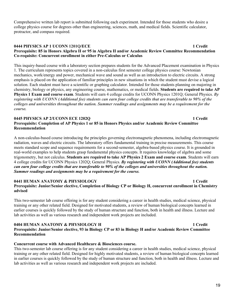Comprehensive written lab report is submitted following each experiment. Intended for those students who desire a college physics course for degrees other than engineering, sciences, math, and medical fields. Scientific calculator, protractor, and compass required.

#### **0444 PHYSICS AP 1 UCONN 1201Q/ECE 1 Credit 1 Credit Prerequisite: 85 in Honors Algebra II or 95 in Algebra II and/or Academic Review Committee Recommendation Co-requisite: Concurrent enrollment in either Pre-Calculus or Calculus**

This inquiry-based course with a laboratory section prepares students for the Advanced Placement examination in Physics 1. The curriculum represents topics covered in a non-calculus first semester college physics course: Newtonian mechanics, work/energy and power, mechanical wave and sound as well as an introduction to electric circuits. A strong emphasis is placed on the application of familiar principles in new situations in which the student must devise a logical solution. Each student must have a scientific or graphing calculator. Intended for those students planning on majoring in chemistry, biology or physics, any engineering course, mathematics, or medical fields. **Students are required to take AP Physics 1 Exam and course exam**. Students will earn 4 college credits for UCONN Physics 1201Q; General Physics. *By registering with UCONN (Additional fee) students can earn four college credits that are transferable to 90% of the colleges and universities throughout the nation. Summer readings and assignments may be a requirement for the course.* 

#### **0445 PHYSICS AP 2/UCONN ECE 1202Q 1 Credit Prerequisite: Completion of AP Physics 1 or 85 in Honors Physics and/or Academic Review Committee Recommendation**

A non-calculus-based course introducing the principles governing electromagnetic phenomena, including electromagnetic radiation, waves and electric circuits. The laboratory offers fundamental training in precise measurements. This course meets standard scope and sequence requirements for a second-semester, algebra-based physics course. It is grounded in real-world examples to help students grasp fundamental physics concepts. It requires knowledge of algebra and some trigonometry, but not calculus. **Students are required to take AP Physics 2 Exam and course exam**. Students will earn 4 college credits for UCONN Physics 1202Q; General Physics. *By registering with UCONN (Additional fee) students can earn four college credits that are transferable to 90% of the colleges and universities throughout the nation. Summer readings and assignments may be a requirement for the course.* 

#### **0441 HUMAN ANATOMY & PHYSIOLOGY 1 Credit Prerequisite: Junior/Senior elective, Completion of Biology CP or Biology H, concurrent enrollment in Chemistry advised**

This two-semester lab course offering is for any student considering a career in health studies, medical science, physical training or any other related field. Designed for motivated students, a review of human biological concepts learned in earlier courses is quickly followed by the study of human structure and function, both in health and illness. Lecture and lab activities as well as various research and independent work projects are included.

#### **0404 HUMAN ANATOMY & PHYSIOLOGY H 1 Credit Prerequisite: Junior/Senior elective, 93 in Biology CP or 83 in Biology H and/or Academic Review Committee Recommendation**

### **Concurrent course with Advanced Healthcare & Biosciences course.**

This two-semester lab course offering is for any student considering a career in health studies, medical science, physical training or any other related field. Designed for highly motivated students, a review of human biological concepts learned in earlier courses is quickly followed by the study of human structure and function, both in health and illness. Lecture and lab activities as well as various research and independent work projects are included.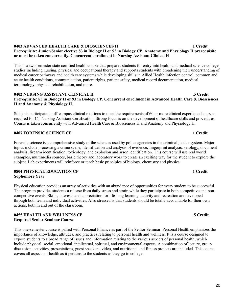#### **0403 ADVANCED HEALTH CARE & BIOSCIENCES H 1 Credit Prerequisite: Junior/Senior elective 83 in Biology H or 93 in Biology CP. Anatomy and Physiology H prerequisite or must be taken concurrently. Concurrent enrollment in Nursing Assistant Clinical H**

This is a two semester state certified health course that prepares students for entry into health and medical science college studies including nursing, physical and occupational therapy and supports students with broadening their understanding of medical career pathways and health care systems while developing skills in Allied Health infection control, common and acute health conditions, communication, patient rights, patient safety, medical record documentation, medical terminology, physical rehabilitation, and more.

#### **0402 NURSING ASSISTANT CLINICAL H .5 Credit Prerequisite: 83 in Biology H or 93 in Biology CP. Concurrent enrollment in Advanced Health Care & Biosciences H and Anatomy & Physiology H.**

Students participate in off-campus clinical rotations to meet the requirements of 60 or more clinical experience hours as required for CT Nursing Assistant Certification. Strong focus is on the development of healthcare skills and procedures. Course is taken concurrently with Advanced Health Care & Biosciences H and Anatomy and Physiology H.

### **0407 FORENSIC SCIENCE CP 1 Credit**

Forensic science is a comprehensive study of the sciences used by police agencies in the criminal justice system. Major topics include processing a crime scene, identification and analysis of evidence, fingerprint analysis, serology, document analysis, firearm identification, toxicology, and explosion and arson identification. This course will use real world examples, multimedia sources, basic theory and laboratory work to create an exciting way for the student to explore the subject. Lab experiments will reinforce or teach basic principles of biology, chemistry and physics.

### **0804 PHYSICAL EDUCATION CP 1 Credit Sophomore Year**

Physical education provides an array of activities with an abundance of opportunities for every student to be successful. The program provides students a release from daily stress and strain while they participate in both competitive and noncompetitive events. Skills, interests and appreciation for life-long learning, activity and recreation are developed through both team and individual activities. Also stressed is that students should be totally accountable for their own actions, both in and out of the classroom.

#### **0455 HEALTH AND WELLNESS CP .5 Credit Required Senior Seminar Course**

This one-semester course is paired with Personal Finance as part of the Senior Seminar. Personal Health emphasizes the importance of knowledge, attitudes, and practices relating to personal health and wellness. It is a course designed to expose students to a broad range of issues and information relating to the various aspects of personal health, which include physical, social, emotional, intellectual, spiritual, and environmental aspects. A combination of lecture, group discussion, activities, presentations, guest speakers, video, and nutritional and fitness projects are included. This course covers all aspects of health as it pertains to the students as they go to college.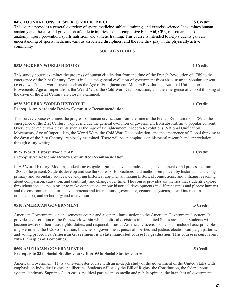### **0456 FOUNDATIONS OF SPORTS MEDICINE CP .5 Credit**

This course provides a general overview of sports medicine, athletic training, and exercise science. It examines human anatomy and the care and prevention of athletic injuries. Topics emphasize First Aid, CPR, muscular and skeletal anatomy, injury prevention, sports nutrition, and athletic training. This course is intended to help students gain an understanding of sports medicine, various associated disciplines, and the role they play in the physically active community

## **SOCIAL STUDIES**

## **0525 MODERN WORLD HISTORY 1 Credit**

This survey course examines the progress of human civilization from the time of the French Revolution of 1789 to the emergence of the 21st Century. Topics include the general evolution of government from absolutism to popular consent. Overview of major world events such as the Age of Enlightenment, Modern Revolutions, National Unification Movements, Age of Imperialism, the World Wars, the Cold War, Decolonization, and the emergence of Global thinking at the dawn of the 21st Century are closely examined.

## **0526 MODERN WORLD HISTORY H 1 Credit**

## **Prerequisite: Academic Review Committee Recommendation**

This survey course examines the progress of human civilization from the time of the French Revolution of 1789 to the emergence of the 21st Century. Topics include the general evolution of government from absolutism to popular consent. Overview of major world events such as the Age of Enlightenment, Modern Revolutions, National Unification Movements, Age of Imperialism, the World Wars, the Cold War, Decolonization, and the emergence of Global thinking at the dawn of the 21st Century are closely examined. There will be an emphasis on historical research and appreciation through essay writing.

## **0527 World History: Modern AP 1 Credit Prerequisite: Academic Review Committee Recommendation**

In AP World History: Modern, students investigate significant events, individuals, developments, and processes from 1200 to the present. Students develop and use the same skills, practices, and methods employed by historians: analyzing primary and secondary sources; developing historical arguments; making historical connections; and utilizing reasoning about comparison, causation, and continuity and change over time. The course provides six themes that students explore throughout the course in order to make connections among historical developments in different times and places: humans and the environment, cultural developments and interactions, governance, economic systems, social interactions and organization, and technology and innovation

## **0510 AMERICAN GOVERNMENT .5 Credit**

American Government is a one semester course and a general introduction to the American Governmental system. It provides a description of the framework within which political decisions in the United States are made. Students will become aware of their basic rights, duties, and responsibilities as American citizens. Topics will include basic principles of government, the U.S. Constitution, branches of government, personal liberties and justice, election campaign patterns, and voting procedures. **American Government is a state mandated course for graduation. This course is concurrent with Principles of Economics.**

### **0509 AMERICAN GOVERNMENT H .5 Credit Prerequisite 83 in Social Studies course H or 93 in Social Studies course**

American Government (H) is a one-semester course with an in-depth study of the government of the United States with emphasis on individual rights and liberties. Students will study the Bill of Rights, the Constitution, the federal court system, landmark Supreme Court cases, political parties, mass media and public opinion, the branches of government,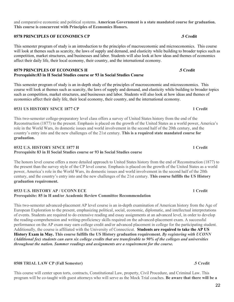and comparative economic and political systems. **American Government is a state mandated course for graduation. This course is concurrent with Principles of Economics Honors.**

#### **0578 PRINCIPLES OF ECONOMICS CP .5 Credit**

This semester program of study is an introduction to the principles of macroeconomic and microeconomics. This course will look at themes such as scarcity, the laws of supply and demand, and elasticity while building to broader topics such as competition, market structures, and businesses and labor. Students will also look at how ideas and themes of economics affect their daily life, their local economy, their country, and the international economy.

#### **0579 PRINCIPLES OF ECONOMICS H .5 Credit Prerequisite:83 in H Social Studies course or 93 in Social Studies Course**

This semester program of study is an in-depth study of the principles of macroeconomic and microeconomics. This course will look at themes such as scarcity, the laws of supply and demand, and elasticity while building to broader topics such as competition, market structures, and businesses and labor. Students will also look at how ideas and themes of economics affect their daily life, their local economy, their country, and the international economy.

#### **0531 US HISTORY SINCE 1877 CP 1 Credit**

This two-semester college-preparatory level class offers a survey of United States history from the end of the Reconstruction (1877) to the present. Emphasis is placed on the growth of the United States as a world power, America's role in the World Wars, its domestic issues and world involvement in the second half of the 20th century, and the country's entry into and the new challenges of the 21st century. **This is a required state mandated course for graduation.**

### **0532 U.S. HISTORY SINCE 1877 H 1 Credit Prerequisite 83 in H Social Studies course or 93 in Social Studies course**

The honors level course offers a more detailed approach to United States history from the end of Reconstruction (1877) to the present than the survey style of the CP level course. Emphasis is placed on the growth of the United States as a world power, America's role in the World Wars, its domestic issues and world involvement in the second half of the 20th century, and the country's entry into and the new challenges of the 21st century. **This course fulfills the US History graduation requirement.**

#### **0533 U.S. HISTORY AP / UCONN ECE 1 Credit Prerequisite: 85 in H and/or Academic Review Committee Recommendation**

This two-semester advanced-placement AP level course is an in-depth examination of American history from the Age of European Exploration to the present, emphasizing political, social, economic, diplomatic, and intellectual interpretations of events. Students are required to do extensive reading and essay assignments at an advanced level, in order to develop the reading-comprehension and writing-proficiency skills required on the advanced-placement exam. A successful performance on the AP exam may earn college credit and/or advanced placement in college for the participating student. Additionally, the course is affiliated with the University of Connecticut. **Students are required to take the AP US History Exam in May. This course fulfills the US History graduation requirement.** *By registering with UCONN (Additional fee) students can earn six college credits that are transferable to 90% of the colleges and universities throughout the nation. Summer readings and assignments are a requirement for the course.* 

### **0508 TRIAL LAW CP (Fall Semester) .5 Credit**

This course will center upon torts, contracts, Constitutional Law, property, Civil Procedure, and Criminal Law. This program will be co-taught with guest attorneys who will serve as the Mock Trial coaches. **Be aware that there will be a**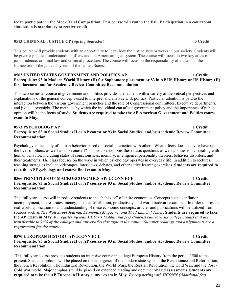#### **fee to participate in the Mock Trial Competition. This course will run in the Fall. Participation in a courtroom simulation is mandatory to receive credit.**

#### **0513 CRIMINAL JUSTICE CP (Spring Semester) .5 Credit**

This course will provide students with an opportunity to learn how the justice system works in our society. Students will be given a practical understanding of law and the American legal system. The course will focus on two key areas of jurisprudence: criminal law and criminal procedure. The course will focus on the responsibility of citizens in the framework of the judicial system of the United States.

#### **0562 UNITED STATES GOVERNMENT AND POLITICS AP 1 Credit Prerequisite: 93 in Modern World History (H) for Sophomore placement or 83 in AP US History or US History (H) for placement and/or Academic Review Committee Recommendation**

This two-semester course in government and politics provides the student with a variety of theoretical perspectives and explanations of the general concepts used to interpret and analyze U.S. politics. Particular attention is paid to the interaction between the various government branches and the role of Congressional committees, Executive departments, and judicial oversight. The methods by which the individual can affect government policy and the importance of public opinion will be the focus of study. **Students are required to take the AP American Government and Politics course exam in May.**

#### **0573 PSYCHOLOGY AP 1 Credit Prerequisite: 83 in Social Studies H or AP course or 93 in Social Studies, and/or Academic Review Committee Recommendation**

Psychology is the study of human behavior based on social interaction with others. What effects does behavior have upon the lives of others, as well as upon oneself? This course explores these basic questions as well as other topics dealing with human behavior, including states of consciousness, memory, intelligence, personality theories, behavior disorders, and their treatments. The class focuses on the ways in which psychology operates in everyday life. In addition to lectures, teaching strategies include videotapes, interviews, debates, and other active learning exercises. **Students are required to take the AP Psychology and course final exam in May.**

#### **0566 PRINCIPLES OF MACROECONOMICS AP/ UCONN ECE 1 Credit Prerequisite: 83 in Social Studies H or AP course or 93 in Social Studies, and/or Academic Review Committee Recommendation**

This full year course will introduce students to the "behavior" of entire economies. Concepts such as inflation, unemployment, interest rates, money, income distribution, productivity, and world trade are examined. In order to provide real-world application to and understanding of these economic concepts, articles and publications will be utilized from sources such as *The Wall Street Journal, Economist Magazine, and The Financial Times*. **Students are required to take the AP Exam in May.** *By registering with UCONN (Additional fee) students can earn six college credits that are transferable to 90% of the colleges and universities throughout the nation. Summer readings and assignments are a requirement for the course***.** 

#### **0570 EUROPEAN HISTORY AP/UCONN ECE 1 Credit 1 Credit Prerequisite: 83 in Social Studies H or AP course or 93 in Social Studies, and/or Academic Review Committee Recommendation**

This full year course provides students an intensive course in college European History from the period 1500 to the present. Special emphasis will be placed on the emergence of the modern state system, the Renaissance and Reformation, the French Revolution, The Industrial Revolution, the World Wars, the Russian Revolution, the Cold War, and the Post - Cold War world. Major emphasis will be placed on extended reading and document-based assessments. **Students are required to take the AP European History course exam in May.** *By registering with UCONN (Additional fee)*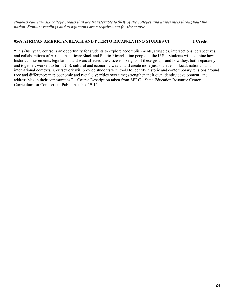*students can earn six college credits that are transferable to 90% of the colleges and universities throughout the nation. Summer readings and assignments are a requirement for the course.* 

#### **0568 AFRICAN AMERICAN/BLACK AND PUERTO RICAN/LATINO STUDIES CP 1 Credit**

"This (full year) course is an opportunity for students to explore accomplishments, struggles, intersections, perspectives, and collaborations of African American/Black and Puerto Rican/Latino people in the U.S. Students will examine how historical movements, legislation, and wars affected the citizenship rights of these groups and how they, both separately and together, worked to build U.S. cultural and economic wealth and create more just societies in local, national, and international contexts. Coursework will provide students with tools to identify historic and contemporary tensions around race and difference; map economic and racial disparities over time; strengthen their own identity development; and address bias in their communities." – Course Description taken from SERC – State Education Resource Center Curriculum for Connecticut Public Act No. 19-12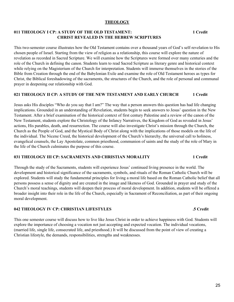### **THEOLOGY**

### **011 THEOLOGY I CP: A STUDY OF THE OLD TESTAMENT: 1 Credit CHRIST REVEALED IN THE HEBREW SCRIPTURES**

This two-semester course illustrates how the Old Testament contains over a thousand years of God's self-revelation to His chosen people of Israel. Starting from the view of religion as a relationship, this course will explore the nature of revelation as recorded in Sacred Scripture. We will examine how the Scriptures were formed over many centuries and the role of the Church in defining the canon. Students learn to read Sacred Scripture as literary genre and historical context while relying on the Magisterium of the Church for interpretation. Students will immerse themselves in the stories of the Bible from Creation through the end of the Babylonian Exile and examine the role of Old Testament heroes as types for Christ, the Biblical foreshadowing of the sacraments, the structures of the Church, and the role of personal and communal prayer in deepening our relationship with God.

#### **021 THEOLOGY II CP: A STUDY OF THE NEW TESTAMENT AND EARLY CHURCH 1 Credit**

Jesus asks His disciples "Who do you say that I am?" The way that a person answers this question has had life changing implications. Grounded in an understanding of Revelation, students begin to seek answers to Jesus' question in the New Testament. After a brief examination of the historical context of first century Palestine and a review of the canon of the New Testament, students explore the Christology of the Infancy Narratives, the Kingdom of God as revealed in Jesus' actions, His parables, death, and resurrection. The course will also investigate Christ's mission through the Church, the Church as the People of God, and the Mystical Body of Christ along with the implications of those models on the life of the individual. The Nicene Creed, the historical development of the Church's hierarchy, the universal call to holiness, evangelical counsels, the Lay Apostolate, common priesthood, communion of saints and the study of the role of Mary in the life of the Church culminates the purpose of this course.

#### **031 THEOLOGY III CP: SACRAMENTS AND CHRISTIAN MORALITY 1 Credit**

Through the study of the Sacraments, students will experience Jesus' continued living presence in the world. The development and historical significance of the sacraments, symbols, and rituals of the Roman Catholic Church will be explored. Students will study the fundamental principles for living a moral life based on the Roman Catholic belief that all persons possess a sense of dignity and are created in the image and likeness of God. Grounded in prayer and study of the Church's moral teachings, students will deepen their process of moral development. In addition, students will be offered a broader insight into their role in the life of the Church, especially in Sacrament of Reconciliation, as part of their ongoing moral development.

### **042 THEOLOGY IV CP: CHRISTIAN LIFESTYLES .5 Credit**

This one semester course will discuss how to live like Jesus Christ in order to achieve happiness with God. Students will explore the importance of choosing a vocation not just accepting and expected vocation. The individual vocations, (married life, single life, consecrated life, and priesthood.) It will be discussed from the point of view of creating a Christian lifestyle, the demands, responsibilities, strengths and weaknesses.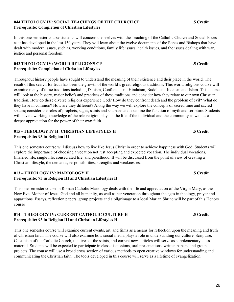### **044 THEOLOGY IV: SOCIAL TEACHINGS OF THE CHURCH CP .5 Credit Prerequisite: Completion of Christian Lifestyles**

In this one semester course students will concern themselves with the Teaching of the Catholic Church and Social Issues as it has developed in the last 150 years. They will learn about the twelve documents of the Popes and Bishops that have dealt with modern issues, such as, working conditions, family life issues, health issues, and the issues dealing with war, justice and personal freedom.

### **043 THEOLOGY IV: WORLD RELIGIONS CP .5 Credit Prerequisite: Completion of Christian Lifestyles**

Throughout history people have sought to understand the meaning of their existence and their place in the world. The result of this search for truth has been the growth of the world's great religious traditions. This world religions course will examine many of these traditions including Daoism, Confucianism, Hinduism, Buddhism, Judaism and Islam. This course will look at the history, major beliefs and practices of these traditions and consider how they relate to our own Christian tradition. How do these diverse religions experience God? How do they confront death and the problem of evil? What do they have in common? How are they different? Along the way we will explore the concepts of sacred time and sacred spaces; consider the roles of prophets, sages, saints and shamans and examine the function of myth and scripture. Students will have a working knowledge of the role religion plays in the life of the individual and the community as well as a deeper appreciation for the power of their own faith.

### **015 - THEOLOGY IV H: CHRISTIAN LIFESTYLES H .5 Credit Prerequisite: 93 in Religion III**

This one semester course will discuss how to live like Jesus Christ in order to achieve happiness with God. Students will explore the importance of choosing a vocation not just accepting and expected vocation. The individual vocations, (married life, single life, consecrated life, and priesthood. It will be discussed from the point of view of creating a Christian lifestyle, the demands, responsibilities, strengths and weaknesses.

## **013 – THEOLOGY IV: MARIOLOGY H .5 Credit Prerequisite: 93 in Religion III and Christian Lifestyles H**

This one semester course in Roman Catholic Mariology deals with the life and appreciation of the Virgin Mary, as the New Eve, Mother of Jesus, God and all humanity, as well as her veneration throughout the ages in theology, prayer and apparitions. Essays, reflection papers, group projects and a pilgrimage to a local Marian Shrine will be part of this Honors course

## **014 – THEOLOGY IV: CURRENT CATHOLIC CULTURE H .5 Credit Prerequisite: 93 in Religion III and Christian Lifestyles H**

This one semester course will examine current events, art, and films as a means for reflection upon the meaning and truth of Christian faith. The course will also examine how social media plays a role in understanding our culture. Scripture, Catechism of the Catholic Church, the lives of the saints, and current news articles will serve as supplementary class material. Students will be expected to participate in class discussions, oral presentations, written papers, and group projects. The course will use a broad cross section of various methods to open creative windows for understanding and communicating the Christian faith. The tools developed in this course will serve as a lifetime of evangelization.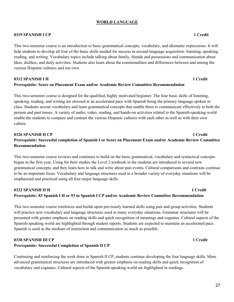### **WORLD LANGUAGE**

#### **0319 SPANISH I CP 1 Credit**

This two-semester course is an introduction to basic grammatical concepts, vocabulary, and idiomatic expressions. It will help students to develop all four of the basic skills needed for success in second-language acquisition: listening, speaking, reading, and writing. Vocabulary topics include talking about family, friends and possessions and communication about likes, dislikes, and daily activities. Students also learn about the commonalities and differences between and among the various Hispanic cultures and our own.

#### **0312 SPANISH I H 1 Credit Prerequisite: Score on Placement Exam and/or Academic Review Committee Recommendation**

This two-semester course is designed for the qualified, highly motivated beginner. The four basic skills of listening, speaking, reading, and writing are stressed at an accelerated pace with Spanish being the primary language spoken in class. Students accrue vocabulary and learn grammatical concepts that enable them to communicate effectively in both the present and past tenses. A variety of audio, video, reading, and hands-on activities related to the Spanish-speaking world enable the students to compare and contrast the various Hispanic cultures with each other as well as with their own culture.

## **0326 SPANISH II CP 1 Credit Prerequisite: Successful completion of Spanish I or Score on Placement Exam and/or Academic Review Committee Recommendation**

This two-semester course reviews and continues to build on the basic grammatical, vocabulary and syntactical concepts begun in the first year. Using for their studies the Level 2 textbook in the students are introduced to several new grammatical concepts, and they learn how to talk and write about past events. Cultural comparisons and contrasts continue to be an important focus. Vocabulary and language structures used in a broader variety of everyday situations will be emphasized and practiced using all four major language skills.

## **0322 SPANISH II H** 1 Credit **1 Prerequisite: 83 Spanish I H or 93 in Spanish I CP and/or Academic Review Committee Recommendation**

This two-semester course reinforces and builds upon previously learned skills using pair and group activities. Students will practice new vocabulary and language structures used in many everyday situations. Grammar structures will be presented with greater emphasis on reading skills and quick recognition of meanings and cognates. Cultural aspects of the Spanish-speaking world are highlighted through student reports. Students are expected to maintain an accelerated pace. Spanish is used as the medium of instruction and communication as much as possible.

## **0330 SPANISH III CP 1 Credit Prerequisite: Successful Completion of Spanish II CP**

Continuing and reinforcing the work done in Spanish II CP, students continue developing the four language skills. More advanced grammatical structures are introduced with greater emphasis on reading skills and quick recognition of vocabulary and cognates. Cultural aspects of the Spanish-speaking world are highlighted in readings.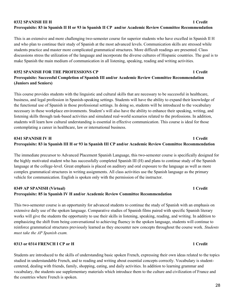## **0332 SPANISH III H 1 Credit Prerequisite: 83 in Spanish II H or 93 in Spanish II CP and/or Academic Review Committee Recommendation**

This is an extensive and more challenging two-semester course for superior students who have excelled in Spanish II H and who plan to continue their study of Spanish at the most advanced levels. Communication skills are stressed while students practice and master more complicated grammatical structures. More difficult readings are presented. Class discussions stress the utilization of the language and incorporate the diverse cultures of Hispanic countries. The goal is to make Spanish the main medium of communication in all listening, speaking, reading and writing activities.

### **0352 SPANISH FOR THE PROFESSIONS CP 1 Credit Prerequisite: Successful Completion of Spanish III and/or Academic Review Committee Recommendation (Juniors and Seniors)**

This course provides students with the linguistic and cultural skills that are necessary to be successful in healthcare, business, and legal profession in Spanish-speaking settings. Students will have the ability to expand their knowledge of the functional use of Spanish in those professional settings. In doing so, students will be introduced to the vocabulary necessary in these workplace environments. Student's will also have the ability to enhance their speaking, writing, and listening skills through task-based activities and simulated real-world scenarios related to the professions. In addition, students will learn how cultural understanding is essential in effective communication. This course is ideal for those contemplating a career in healthcare, law or international business.

### **0341 SPANISH IV H 1 Credit Prerequisite: 83 in Spanish III H or 93 in Spanish III CP and/or Academic Review Committee Recommendation**

The immediate precursor to Advanced Placement Spanish Language, this two-semester course is specifically designed for the highly motivated student who has successfully completed Spanish III (H) and plans to continue study of the Spanish language at the college-level. Great emphasis is placed on auditory and oral exposure to the language as well as more complex grammatical structures in writing assignments. All class activities use the Spanish language as the primary vehicle for communication. English is spoken only with the permission of the instructor.

### **0349 AP SPANISH (Virtual) 1 Credit Prerequisite: 85 in Spanish IV H and/or Academic Review Committee Recommendation**

This two-semester course is an opportunity for advanced students to continue the study of Spanish with an emphasis on extensive daily use of the spoken language. Comparative studies of Spanish films paired with specific Spanish literary works will give the students the opportunity to use their skills in listening, speaking, reading, and writing. In addition to emphasizing the shift from being conversational to achieving fluency in the spoken language, students will continue to reinforce grammatical structures previously learned as they encounter new concepts throughout the course work. *Students must take the AP Spanish exam.*

### **0313 or 0314 FRENCH I CP or H 1 Credit**

Students are introduced to the skills of understanding basic spoken French, expressing their own ideas related to the topics studied in understandable French, and to reading and writing about essential concepts correctly. Vocabulary is studentcentered, dealing with friends, family, shopping, eating, and daily activities. In addition to learning grammar and vocabulary, the students use supplementary materials which introduce them to the culture and civilization of France and the countries where French is spoken.

28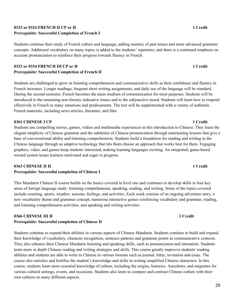## **0323 or 0324 FRENCH II CP or H 1 Credit Prerequisite: Successful Completion of French I**

Students continue their study of French culture and language, adding mastery of past tenses and more advanced grammar concepts. Additional vocabulary on many topics is added to the students' repertoire, and there is a continued emphasis on accurate pronunciation to reinforce their progress towards fluency in French.

## **0333 or 0334 FRENCH III CP or H 1 Credit Prerequisite: Successful Completion of French II**

Students are challenged to grow in listening comprehension and communicative skills as their confidence and fluency in French increases. Longer readings, frequent short writing assignments, and daily use of the language will be standard. During the second semester, French becomes the main medium of communication for most purposes. Students will be introduced to the remaining non-literary indicative tenses and to the subjunctive mood. Students will learn how to respond effectively in French in many situations and predicaments. The text will be supplemented with a variety of authentic French materials, including news articles, literature, and film.

### **0361 CHINESE I CP 1 Credit**

Students use compelling stories, games, videos and multimedia experiences in this introduction to Chinese. They learn the elegant simplicity of Chinese grammar and the subtleties of Chinese pronunciation through entertaining lessons that give a base of conversational ability and listening comprehension. Students build a foundation for reading and writing in the Chinese language through an adaptive technology that lets them choose an approach that works best for them. Engaging graphics, video, and games keep students interested, making learning languages exciting. An integrated, game-based reward system keeps learners motivated and eager to progress.

### **0363 CHINESE II H 1 Credit**

## **Prerequisite: Successful completion of Chinese I**

This Mandarin Chinese II course builds on the basics covered in level one and continues to develop skills in four key areas of foreign language study: listening comprehension, speaking, reading, and writing. Some of the topics covered include counting, sports, weather, seasons, feelings, and activities. Each week consists of an ongoing adventure story, a new vocabulary theme and grammar concept, numerous interactive games reinforcing vocabulary and grammar, reading, and listening comprehension activities, and speaking and writing activities.

#### **0366 CHINESE III H 1 Credit Prerequisite: Successful completion of Chinese II**

Students continue to expand their abilities in various aspects of Chinese Mandarin. Students continue to build and expand their knowledge of vocabulary, character recognition, sentence patterns and grammar points in communicative contexts. They also enhance their Chinese Mandarin listening and speaking skills, such as pronunciation and intonation. Students learn more in depth Chinese reading and writing strategies and skills. This course greatly improves students' reading abilities and students are able to write in Chinese in various formats such as journal, letter, invitation and essay. The course also enriches and fortifies the student's knowledge and skills in writing simplified Chinese characters. In this course, students learn more essential knowledge of culture, including the origins, histories. Anecdotes, and etiquettes for various cultural settings, events, and occasions. Students also learn to compare and contrast Chinese culture with their own cultures in many different aspects.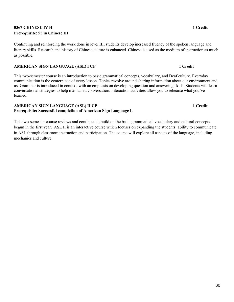## **0367 CHINESE IV H 1 Credit Prerequisite: 93 in Chinese III**

Continuing and reinforcing the work done in level III, students develop increased fluency of the spoken language and literary skills. Research and history of Chinese culture is enhanced. Chinese is used as the medium of instruction as much as possible.

### **AMERICAN SIGN LANGUAGE (ASL) I CP 1 Credit**

This two-semester course is an introduction to basic grammatical concepts, vocabulary, and Deaf culture. Everyday communication is the centerpiece of every lesson. Topics revolve around sharing information about our environment and us. Grammar is introduced in context, with an emphasis on developing question and answering skills. Students will learn conversational strategies to help maintain a conversation. Interaction activities allow you to rehearse what you've learned.

#### **AMERICAN SIGN LANGUAGE (ASL) II CP 1 Credit Prerequisite: Successful completion of American Sign Language I.**

This two-semester course reviews and continues to build on the basic grammatical, vocabulary and cultural concepts begun in the first year. ASL II is an interactive course which focuses on expanding the students' ability to communicate in ASL through classroom instruction and participation. The course will explore all aspects of the language, including mechanics and culture.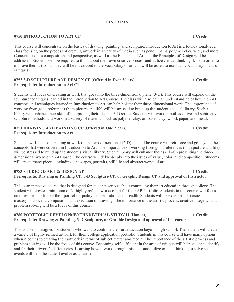### **FINE ARTS**

#### **0750 INTRODUCTION TO ART CP 1 Credit**

This course will concentrate on the basics of drawing, painting, and sculpture. Introduction to Art is a foundational-level class focusing on the process of creating artwork in a variety of media such as pencil, paint, polymer clay, wire, and more. Concepts such as composition and perspective, as well as the Elements of Art and the Principles of Design will be addressed. Students will be required to think about their own creative process and utilize critical thinking skills in order to improve their artwork. They will be introduced to the vocabulary of art and will be asked to use such vocabulary in class critiques.

#### **0752 3-D SCULPTURE AND DESIGN CP (Offered in Even Years) 1 Credit Prerequisite: Introduction to Art CP**

Students will focus on creating artwork that goes into the three-dimensional plane (3-D). This course will expand on the sculpture techniques learned in the Introduction to Art Course. The class will also gain an understanding of how the 2-D concepts and techniques learned in Introduction to Art can help bolster their three-dimensional work. The importance of working from good references (both picture and life) will be stressed to build up the student's visual library. Such a library will enhance their skill of interpreting their ideas in 3-D space. Students will work in both additive and subtractive sculpture methods, and work in a variety of materials such as polymer clay, oil-based clay, wood, paper, and metal.

#### **0751 DRAWING AND PAINTING CP (Offered in Odd Years) 1 Credit Prerequisite: Introduction to Art**

Students will focus on creating artwork on the two-dimensional (2-D) plane. The course will reinforce and go beyond the concepts that were covered in Introduction to Art. The importance of working from good references (both picture and life) will be stressed to build up the student's visual library. Such a library will enhance their skill of representing the threedimensional world on a 2-D space. The course will delve deeply into the issues of value, color, and composition. Students will create many pieces, including landscapes, portraits, still life and abstract works of art.

#### **0783 STUDIO 2D ART & DESIGN AP 1 Credit Prerequisite: Drawing & Painting CP, 3-D Sculpture CP, or Graphic Design CP and approval of Instructor**

This is an intensive course that is designed for students serious about continuing their art education through college. The student will create a minimum of 24 highly refined works of art for their AP Portfolio. Students in this course will focus on three areas to fill out their portfolio: quality, concentration and breadth. Students will be expected to pursue mastery in concept, composition and execution of drawing. The importance of the artistic process, creative integrity, and problem solving will be a focus of this course.

#### **0780 PORTFOLIO DEVELOPMENT/INDIVIDUAL STUDY H (Honors) 1 Credit Prerequisite: Drawing & Painting, 3-D Sculpture, or Graphic Design and approval of Instructor**

This course is designed for students who want to continue their art education beyond high school. The student will create a variety of highly refined artwork for their college application portfolio. Students in this course will have many options when it comes to creating their artwork in terms of subject matter and media. The importance of the artistic process and problem solving will be the focus of this course. Becoming self-sufficient in the area of critique will help students identify and fix their artwork's deficiencies. Learning how to work through mistakes and utilize critical thinking to solve such events will help the student evolve as an artist.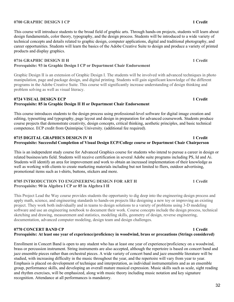## **0700 GRAPHIC DESIGN I CP 1 Credit**

This course will introduce students to the broad field of graphic arts. Through hands-on projects, students will learn about design fundamentals, color theory, typography, and the design process. Students will be introduced to a wide variety of technical concepts and details related to graphic design, computer applications, digital and traditional photography, and career opportunities. Students will learn the basics of the Adobe Creative Suite to design and produce a variety of printed products and display graphics.

### **0716 GRAPHIC DESIGN II H 1 2 Credit Prerequisite: 93 in Graphic Design I CP or Department Chair Endorsement**

Graphic Design II is an extension of Graphic Design I. The students will be involved with advanced techniques in photo manipulation, page and package design, and digital printing. Students will gain significant knowledge of the different programs in the Adobe Creative Suite. This course will significantly increase understanding of design thinking and problem solving as well as visual literacy.

#### **0724 VISUAL DESIGN ECP** 1 Credit **Prerequisite: 85 in Graphic Design II H or Department Chair Endorsement**

This course introduces students to the design process using professional-level software for digital image creation and editing, typesetting and typography, page layout and design in preparation for advanced coursework. Students produce course projects that demonstrate creativity, design concepts, critical thinking, aesthetic principles, and basic technical competence. ECP credit from Quinnipiac University. (additional fee required).

### **0715 DIGITAL GRAPHICS DESIGN IV H 1 Credit Prerequisite: Successful Completion of Visual Design ECP/College course or Department Chair Chairperson**

This is an independent study course for Advanced Graphics course for students who intend to pursue a career in design or related business/arts field. Students will receive certification in several Adobe suite programs including PS, Id and Ai. Students will identify an area for improvement and work to obtain an increased implementation of their knowledge as well as working with clients to create marketing materials including but not limited to fliers, outdoor advertising, promotional items such as t-shirts, buttons, stickers and more.

#### **0705 INTRODUCTION TO ENGINEERING DESIGN FOR ART H 1 Credit Prerequisite: 90 in Algebra I CP or 85 in Algebra I H**

This Project Lead the Way course provides students the opportunity to dig deep into the engineering design process and apply math, science, and engineering standards to hands-on projects like designing a new toy or improving an existing project. They work both individually and in teams to design solutions to a variety of problems using 3-D modeling software and use an engineering notebook to document their work. Course concepts include the design process, technical sketching and drawing, measurement and statistics, modeling skills, geometry of design, reverse engineering, documentation, advanced computer modeling, design team and design challenges.

### **0770 CONCERT BAND CP 1 Credit Prerequisite: At least one year of experience/proficiency in woodwind, brass or precautions (Strings considered)**

Enrollment in Concert Band is open to any student who has at least one year of experience/proficiency on a woodwind, brass or percussion instrument. String instruments are also accepted, although the repertoire is based on concert band and jazz ensemble pieces rather than orchestral pieces. A wide variety of concert band and jazz ensemble literature will be studied, with increasing difficulty in the music throughout the year, and the repertoire will vary from year to year. Emphasis is placed on development of technique and interpretation, as individual instrumentalists and as an ensemble group, performance skills, and developing an overall mature musical expression. Music skills such as scale, sight reading and rhythm exercises, will be emphasized, along with music theory including music notation and key signature recognition. Attendance at all performances is mandatory.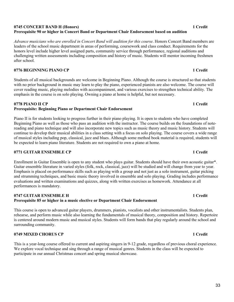### **0745 CONCERT BAND H (Honors) 1 Credit Prerequisite 90 or higher in Concert Band or Department Chair Endorsement based on audition**

*Advance musicians who are enrolled in Concert Band will audition for this course*. Honors Concert Band members are leaders of the school music department in areas of performing, coursework and class conduct. Requirements for the honors level include higher level assigned parts, community service through performance, regional auditions and challenging written assessments including composition and history of music. Students will mentor incoming freshmen after school.

## **0776 BEGINNING PIANO CP 1 Credit**

Students of all musical backgrounds are welcome in Beginning Piano. Although the course is structured so that students with no prior background in music may learn to play the piano, experienced pianists are also welcome. The course will cover reading music, playing melodies with accompaniment, and various exercises to strengthen technical ability. The emphasis in the course is on solo playing. Owning a piano at home is helpful, but not necessary.

### **0778 PIANO II CP 1 Credit**

## **Prerequisite: Beginning Piano or Department Chair Endorsement**

Piano II is for students looking to progress further in their piano playing. It is open to students who have completed Beginning Piano as well as those who pass an audition with the instructor. The course builds on the foundations of notereading and piano technique and will also incorporate new topics such as music theory and music history. Students will continue to develop their musical abilities in a class setting with a focus on solo playing. The course covers a wide range of musical styles including pop, classical, jazz and blues. Although some method book material is required, students will be expected to learn piano literature. Students are not required to own a piano at home.

## **0771 GUITAR ENSEMBLE CP 1 Credit**

Enrollment in Guitar Ensemble is open to any student who plays guitar. Students should have their own acoustic guitar\*. Guitar ensemble literature in varied styles (folk, rock, classical, jazz) will be studied and will change from year to year. Emphasis is placed on performance skills such as playing with a group and not just as a solo instrument, guitar picking and strumming techniques, and basic music theory involved in ensemble and solo playing. Grading includes performance evaluations and written examinations and quizzes, along with written exercises as homework. Attendance at all performances is mandatory.

### **0747 GUITAR ENSEMBLE H 1 Credit Prerequisite 85 or higher in a music elective or Department Chair Endorsement**

This course is open to advanced guitar players, drummers, pianists, vocalists and other instrumentalists. Students plan, rehearse, and perform music while also learning the fundamentals of musical theory, composition and history. Repertoire is centered around modern music and musical styles. Students will form bands that play regularly around the school and surrounding community.

## **0749 MIXED CHORUS CP 1 Credit**

This is a year-long course offered to current and aspiring singers in 9-12 grade, regardless of previous choral experience. We explore vocal technique and sing through a range of musical genres. Students in the class will be expected to participate in our annual Christmas concert and spring musical showcase.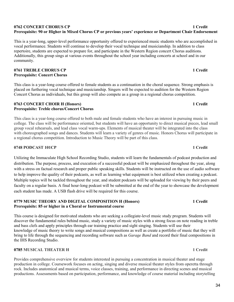### **0762 CONCERT CHORUS CP 1 Credit Prerequisite: 90 or Higher in Mixed Chorus CP or previous years' experience or Department Chair Endorsement**

This is a year-long, upper-level performance opportunity offered to experienced music students who are accomplished in vocal performance. Students will continue to develop their vocal technique and musicianship. In addition to class repertoire, students are expected to prepare for, and participate in the Western Region concert Chorus auditions. Additionally, this group sings at various events throughout the school year including concerts at school and in our community.

### **0761 TREBLE CHORUS CP 1 Credit Prerequisite: Concert Chorus**

This class is a year-long course offered to female students as a continuation in the choral sequence. Strong emphasis is placed on furthering vocal technique and musicianship. Singers will be expected to audition for the Western Region Concert Chorus as individuals, but this group will also compete as a group in a regional chorus competition.

### **0763 CONCERT CHOIR H (Honors) 1 Credit Prerequisite: Treble chorus/Concert Chorus**

This class is a year-long course offered to both male and female students who have an interest in pursuing music in college. The class will be performance oriented, but students will have an opportunity to direct musical pieces, lead small group vocal rehearsals, and lead class vocal warm-ups. Elements of musical theater will be integrated into the class with choreographed songs and dances. Students will learn a variety of genres of music. Honors Chorus will participate in a regional chorus competition. Introduction to Music Theory will be part of this class.

## **0748 PODCAST 101CP** 1 **Credit**

Utilizing the Immaculate High School Recording Studio, students will learn the fundamentals of podcast production and distribution. The purpose, process, and execution of a successful podcast will be emphasized throughout the year, along with a stress on factual research and proper public speaking skills. Students will be instructed on the use of audio software to help improve the quality of their podcasts, as well as learning what equipment is best utilized when creating a podcast. Multiple topics will be tackled throughout the year, and student podcasts will be uploaded for viewing by their peers and faculty on a regular basis. A final hour-long podcast will be submitted at the end of the year to showcase the development each student has made. A USB flash drive will be required for this course.

#### **0779 MUSIC THEORY AND DIGITAL COMPOSITION H (Honors) 1 Credit Prerequisite: 85 or higher in a Choral or Instrumental course**

This course is designed for motivated students who are seeking a collegiate-level music study program. Students will discover the fundamental rules behind music, study a variety of music styles with a strong focus on note reading in treble and bass clefs and apply principles through ear training practice and sight singing. Students will use their knowledge of music theory to write songs and musical compositions as well as create a portfolio of music that they will bring to life through the sequencing and recording software such as *Garage Band* and record their final compositions in the IHS Recording Studio.

## **0785 MUSICAL THEATER H 1 A 2008 1 2 A 2009 1 2 A 2009 1 2 A 2009 1 2 A 2009 1 2 A 2009 1 2 A 2009 1 2 A 2009 1**

Provides comprehensive overview for students interested in pursuing a concentration in musical theater and stage production in college. Coursework focuses on acting, singing and diverse musical theater styles from operetta through rock. Includes anatomical and musical terms, voice classes, training, and performance in directing scenes and musical productions. Assessments based on participation, performance, and knowledge of course material including storytelling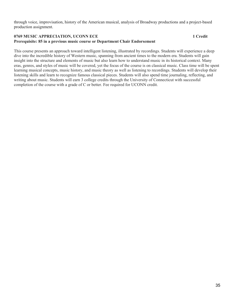through voice, improvisation, history of the American musical, analysis of Broadway productions and a project-based production assignment.

#### **0769 MUSIC APPRECIATION, UCONN ECE 1 2 2006 1 2 2006 1 2 2006 1 2 3 4 3 4 4 4 4 5 6 7 7 8 4 4 5 7 7 8 7 7 8 7 8 7 7 8 7 7 8 7 7 8 7 7 8 7 7 8 7 7 8 7 7 8 7 7 8 7 7 8 7 7 8 7 7 8 7 7 8 7 7 8 7 7 8 7 7 8 7 7 8 7 7 8 7 7 8 7 Prerequisite: 85 in a previous music course or Department Chair Endorsement**

This course presents an approach toward intelligent listening, illustrated by recordings. Students will experience a deep dive into the incredible history of Western music, spanning from ancient times to the modern era. Students will gain insight into the structure and elements of music but also learn how to understand music in its historical context. Many eras, genres, and styles of music will be covered, yet the focus of the course is on classical music. Class time will be spent learning musical concepts, music history, and music theory as well as listening to recordings. Students will develop their listening skills and learn to recognize famous classical pieces. Students will also spend time journaling, reflecting, and writing about music. Students will earn 3 college credits through the University of Connecticut with successful completion of the course with a grade of C or better. Fee required for UCONN credit.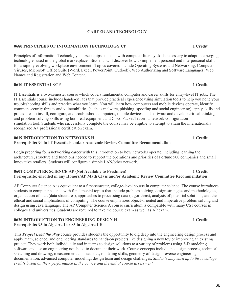## **CAREER AND TECHNOLOGY**

## **0680 PRINCIPLES OF INFORMATION TECHNOLOGY CP 1 Credit**

Principles of Information Technology course equips students with computer literacy skills necessary to adapt to emerging technologies used in the global marketplace. Students will discover how to implement personal and interpersonal skills for a rapidly evolving workplace environment. Topics covered include Operating Systems and Networking, Computer Viruses, Microsoft Office Suite (Word, Excel, PowerPoint, Outlook), Web Authorizing and Software Languages, Web Names and Registration and Web Content.

## **0610 IT ESSENTIALSCP 1 Credit**

IT Essentials is a two-semester course which covers fundamental computer and career skills for entry-level IT jobs. The IT Essentials course includes hands-on labs that provide practical experience using simulation tools to help you hone your troubleshooting skills and practice what you learn. You will learn how computers and mobile devices operate, identify common security threats and vulnerabilities (such as malware, phishing, spoofing and social engineering), apply skills and procedures to install, configure, and troubleshoot computers, mobile devices, and software and develop critical thinking and problem-solving skills using both real equipment and Cisco Packet Tracer, a network configuration simulation tool. Students who successfully complete the course may be eligible to attempt to attain the internationally recognized A+ professional certification exam.

### **0619 INTRODUCTION TO NETWORKS H 1 Credit Prerequisite: 90 in IT Essentials and/or Academic Review Committee Recommendation**

Begin preparing for a networking career with this introduction to how networks operate, including learning the architecture, structure and functions needed to support the operations and priorities of Fortune 500 companies and small innovative retailers. Students will configure a simple LAN/other network.

## **0601 COMPUTER SCIENCE AP (Not Available to Freshmen) 1 Credit Prerequisite: enrolled in any Honors/AP Math Class and/or Academic Review Committee Recommendation**

AP Computer Science A is equivalent to a first-semester, college-level course in computer science. The course introduces students to computer science with fundamental topics that include problem solving, design strategies and methodologies, organization of data (data structures), approaches to processing data (algorithms), analysis of potential solutions, and the ethical and social implications of computing. The course emphasizes object-oriented and imperative problem solving and design using Java language. The AP Computer Science A course curriculum is compatible with many CS1 courses in colleges and universities. Students are required to take the course exam as well as AP exam.

## **0620 INTRODUCTION TO ENGINEERING DESIGN H 1 Credit Prerequisite: 93 in Algebra I or 83 in Algebra I H**

This *Project Lead the Way* course provides students the opportunity to dig deep into the engineering design process and apply math, science, and engineering standards to hands-on projects like designing a new toy or improving an existing project. They work both individually and in teams to design solutions to a variety of problems using 3-D modeling software and use an engineering notebook to document their work. Course concepts include the design process, technical sketching and drawing, measurement and statistics, modeling skills, geometry of design, reverse engineering, documentation, advanced computer modeling, design team and design challenges. *Students may earn up to three college credits based on their performance in the course and the end of course assessment.*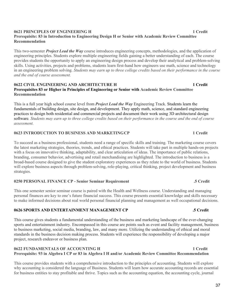#### **0621 PRINCIPLES OF ENGINEERING H 1 Credit Prerequisite: 83 in Introduction to Engineering Design H or Senior with Academic Review Committee Recommendation**

This two-semester *Project Lead the Way* course introduces engineering concepts, methodologies, and the application of engineering principles. Students explore multiple engineering fields gaining a better understanding of each. The course provides students the opportunity to apply an engineering design process and develop their analytical and problem-solving skills. Using activities, projects and problems, students learn first-hand how engineers use math, science and technology in an engineering problem solving. *Students may earn up to three college credits based on their performance in the course and the end of course assessment.*

#### **0622 CIVIL ENGINEERING AND ARCHITECTURE H 1 Credit Prerequisites 83 or Higher in Principles of Engineering or Senior with Academic Review Committee Recommendation**

This is a full year high school course level from *Project Lead the Way* Engineering Track. Students learn the fundamentals of building design, site design, and development. They apply math, science, and standard engineering practices to design both residential and commercial projects and document their work using 3D architectural design software*. Students may earn up to three college credits based on their performance in the course and the end of course assessment.*

### **0623 INTRODUCTION TO BUSINESS AND MARKETINGCP 1 Credit**

To succeed as a business professional, students need a range of specific skills and training. The marketing course covers the latest marketing strategies, theories, trends, and ethical practices. Students will take part in multiple hands-on projects with a focus on innovative thinking, adaptability, and clear articulation of ideas. The importance of public relations, branding, consumer behavior, advertising and retail merchandising are highlighted. The introduction to business is a broad-based course designed to give the student exploratory experiences as they relate to the world of business. Students will explore business aspects through problem-solving, role-playing, critical thinking, project development and business strategies.

#### **0250 PERSONAL FINANCE CP - Senior Seminar Requirement .5 Credit**

This one semester senior seminar course is paired with the Health and Wellness course. Understanding and managing personal finances are key to one's future financial success. This course presents essential knowledge and skills necessary to make informed decisions about real world personal financial planning and management as well occupational decisions.

#### **0626 SPORTS AND ENTERTAINMENT MANAGEMENT CP .5 Credit**

This course gives students a fundamental understanding of the business and marketing landscape of the ever-changing sports and entertainment industry. Encompassed in this course are points such as event and facility management, business to business marketing, social media, branding, law, and many more. Utilizing the understanding of ethical and moral standards in the business decision making process. Students will experience the responsibility of developing a major project, research endeavor or business plan.

## **0622 FUNDAMENTALS OF ACCOUNTING H 1 Credit 1 Credit Prerequisite: 93 in Algebra I CP or 83 in Algebra I H and/or Academic Review Committee Recommendation**

This course provides students with a comprehensive introduction to the principles of accounting. Students will explore why accounting is considered the language of Business. Students will learn how accurate accounting records are essential for business entities to stay profitable and thrive. Topics such as the accounting equation, the accounting cycle, journal

37